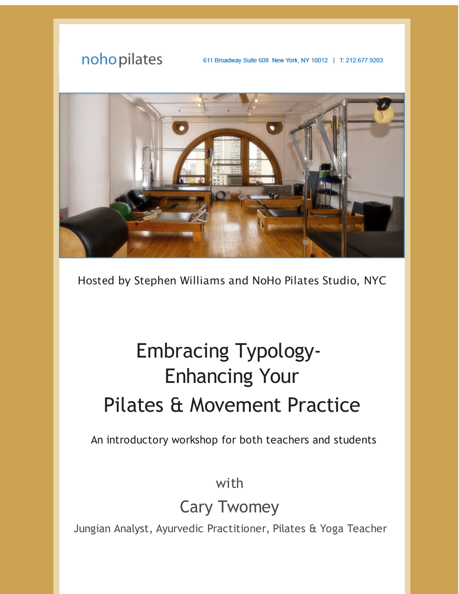

Hosted by Stephen Williams and NoHo Pilates Studio, NYC

## Embracing Typology-Enhancing Your Pilates & Movement Practice

An introductory workshop for both teachers and students

with

Cary Twomey

Jungian Analyst, Ayurvedic Practitioner, Pilates & Yoga Teacher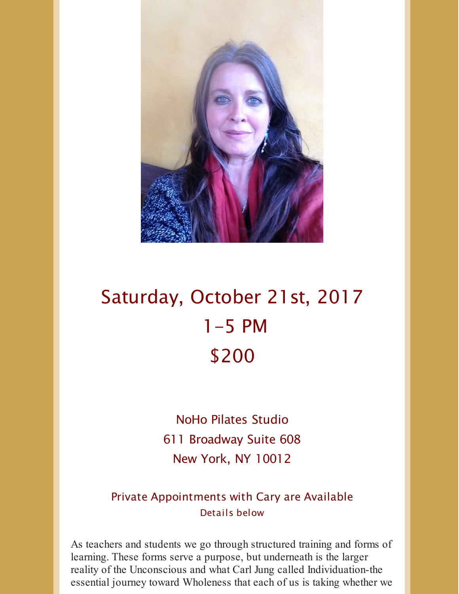

## Saturday, October 21st, 2017 1-5 PM \$200

NoHo Pilates Studio 611 Broadway Suite 608 New York, NY 10012

Private Appointments with Cary are Available Details below

As teachers and students we go through structured training and forms of learning. These forms serve a purpose, but underneath is the larger reality of the Unconscious and what Carl Jung called Individuation-the essential journey toward Wholeness that each of us is taking whether we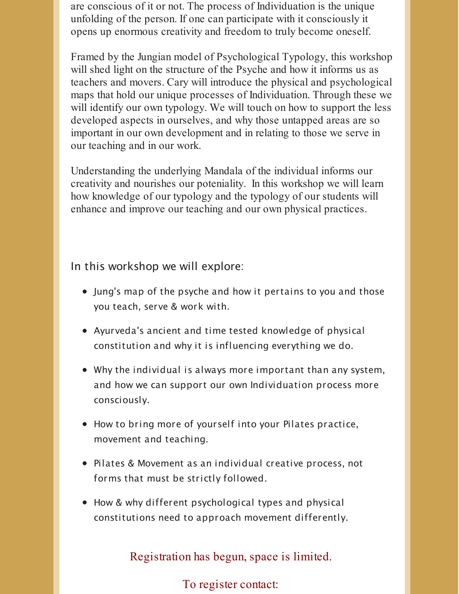are conscious of it or not. The process of Individuation is the unique unfolding of the person. If one can participate with it consciously it opens up enormous creativity and freedom to truly become oneself.

Framed by the Jungian model of Psychological Typology, this workshop will shed light on the structure of the Psyche and how it informs us as teachers and movers. Cary will introduce the physical and psychological maps that hold our unique processes of Individuation. Through these we will identify our own typology. We will touch on how to support the less developed aspects in ourselves, and why those untapped areas are so important in our own development and in relating to those we serve in our teaching and in our work.

Understanding the underlying Mandala of the individual informs our creativity and nourishes our poteniality. In this workshop we will learn how knowledge of our typology and the typology of our students will enhance and improve our teaching and our own physical practices.

In this workshop we will explore:

- Jung's map of the psyche and how it pertains to you and those you teach, serve & work with.
- Ayurveda's ancient and time tested knowledge of physical constitution and why it is influencing everything we do.
- Why the individual is always more important than any system, and how we can support our own Individuation process more consciously.
- How to bring more of yourself into your Pilates practice, movement and teaching.
- Pilates & Movement as an individual creative process, not forms that must be strictly followed.
- How & why different psychological types and physical constitutions need to approach movement differently.

Registration has begun, space is limited.

To register contact: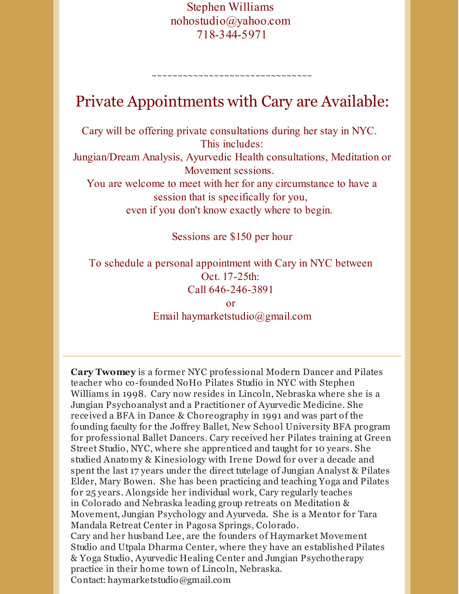Stephen Williams nohostudio@yahoo.com 718-344-5971

## Private Appointments with Cary are Available:

~~~~~~~~~~~~~~~~~~~~~~~~~~~~~

Cary will be offering private consultations during her stay in NYC. This includes:

Jungian/Dream Analysis, Ayurvedic Health consultations, Meditation or Movement sessions.

You are welcome to meet with her for any circumstance to have a session that is specifically for you, even if you don't know exactly where to begin.

Sessions are \$150 per hour

To schedule a personal appointment with Cary in NYC between Oct. 17-25th: Call 646-246-3891

> or Email haymarketstudio@gmail.com

**Cary Twomey** is a former NYC professional Modern Dancer and Pilates teacher who co-founded NoHo Pilates Studio in NYC with Stephen Williams in 1998. Cary now resides in Lincoln, Nebraska where she is a Jungian Psychoanalyst and a Practitioner of Ayurvedic Medicine. She received a BFA in Dance & Choreography in 1991 and was part of the founding faculty for the Joffrey Ballet, New School University BFA program for professional Ballet Dancers. Cary received her Pilates training at Green Street Studio, NYC, where she apprenticed and taught for 10 years. She studied Anatomy & Kinesiology with Irene Dowd for over a decade and spent the last 17 years under the direct tutelage of Jungian Analyst & Pilates Elder, Mary Bowen. She has been practicing and teaching Yoga and Pilates for 25 years. Alongside her individual work, Cary regularly teaches in Colorado and Nebraska leading group retreats on Meditation & Movement, Jungian Psychology and Ayurveda. She is a Mentor for Tara Mandala Retreat Center in Pagosa Springs, Colorado. Cary and her husband Lee, are the founders of Haymarket Movement Studio and Utpala Dharma Center, where they have an established Pilates & Yoga Studio, Ayurvedic Healing Center and Jungian Psychotherapy practice in their home town of Lincoln, Nebraska. Contact: haymarketstudio@gmail.com